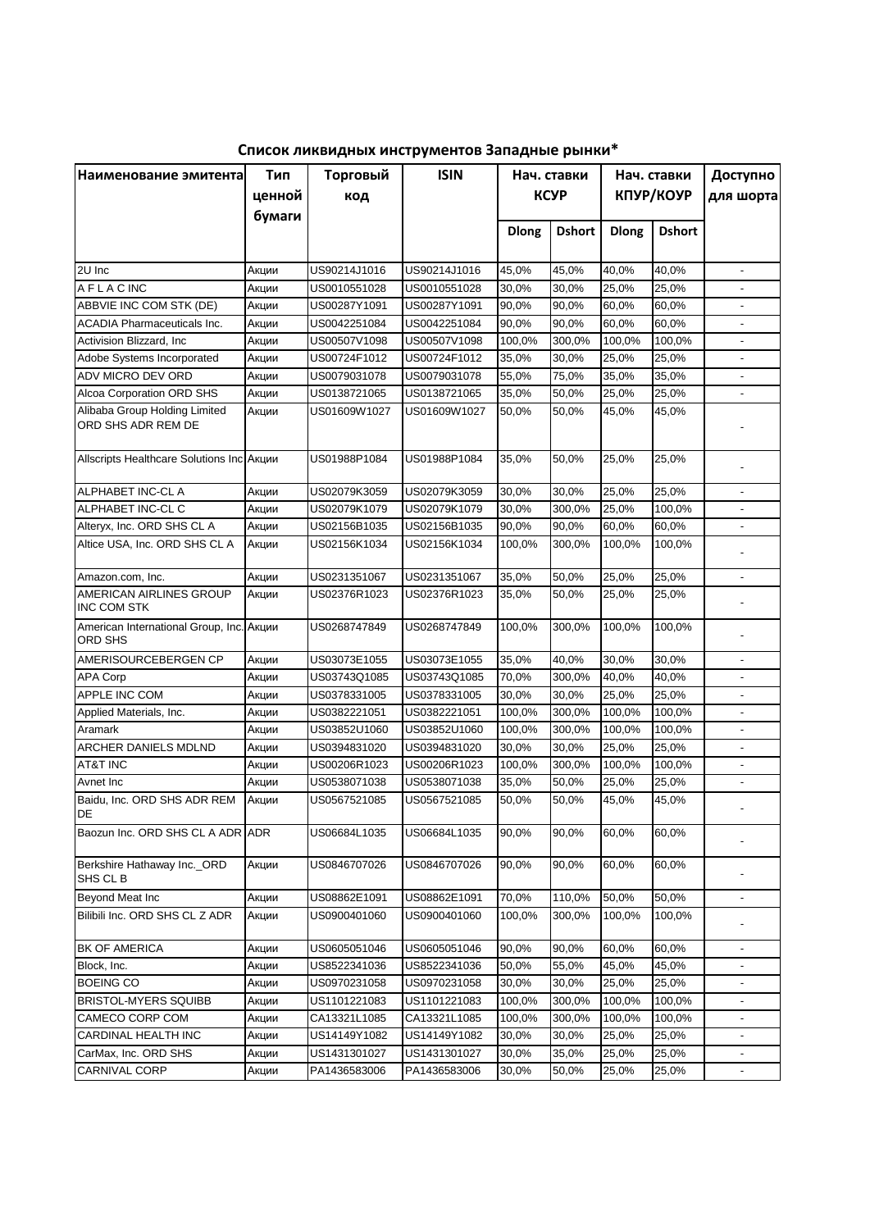| Список ликвидных инструментов Западные рынки* |  |
|-----------------------------------------------|--|
|-----------------------------------------------|--|

| Наименование эмитента                               | Торговый<br>Тип |              | <b>ISIN</b>  | Нач. ставки  |               | Нач. ставки  |               | Доступно                 |
|-----------------------------------------------------|-----------------|--------------|--------------|--------------|---------------|--------------|---------------|--------------------------|
|                                                     | ценной          | код          |              |              | <b>KCYP</b>   | КПУР/КОУР    |               | для шорта                |
|                                                     | бумаги          |              |              |              |               |              |               |                          |
|                                                     |                 |              |              | <b>Dlong</b> | <b>Dshort</b> | <b>Dlong</b> | <b>Dshort</b> |                          |
|                                                     |                 |              |              |              |               |              |               |                          |
| 2U Inc                                              | Акции           | US90214J1016 | US90214J1016 | 45,0%        | 45,0%         | 40,0%        | 40,0%         | $\blacksquare$           |
| <b>AFLACINC</b>                                     | Акции           | US0010551028 | US0010551028 | 30,0%        | 30,0%         | 25,0%        | 25,0%         |                          |
| ABBVIE INC COM STK (DE)                             | Акции           | US00287Y1091 | US00287Y1091 | 90,0%        | 90,0%         | 60,0%        | 60,0%         |                          |
| <b>ACADIA Pharmaceuticals Inc.</b>                  | Акции           | US0042251084 | US0042251084 | 90,0%        | 90,0%         | 60,0%        | 60,0%         | $\blacksquare$           |
| Activision Blizzard, Inc.                           | Акции           | US00507V1098 | US00507V1098 | 100,0%       | 300,0%        | 100,0%       | 100,0%        | $\overline{\phantom{a}}$ |
| Adobe Systems Incorporated                          | Акции           | US00724F1012 | US00724F1012 | 35,0%        | 30,0%         | 25,0%        | 25,0%         | $\blacksquare$           |
| ADV MICRO DEV ORD                                   | Акции           | US0079031078 | US0079031078 | 55,0%        | 75,0%         | 35,0%        | 35,0%         | $\blacksquare$           |
| Alcoa Corporation ORD SHS                           | Акции           | US0138721065 | US0138721065 | 35,0%        | 50,0%         | 25,0%        | 25,0%         | $\blacksquare$           |
| Alibaba Group Holding Limited<br>ORD SHS ADR REM DE | Акции           | US01609W1027 | US01609W1027 | 50,0%        | 50,0%         | 45,0%        | 45,0%         |                          |
| Allscripts Healthcare Solutions Inc Акции           |                 | US01988P1084 | US01988P1084 | 35,0%        | 50,0%         | 25,0%        | 25,0%         | $\overline{a}$           |
| ALPHABET INC-CL A                                   | Акции           | US02079K3059 | US02079K3059 | 30,0%        | 30,0%         | 25,0%        | 25,0%         |                          |
| ALPHABET INC-CL C                                   | Акции           | US02079K1079 | US02079K1079 | 30,0%        | 300,0%        | 25,0%        | 100,0%        |                          |
| Alteryx, Inc. ORD SHS CL A                          | Акции           | US02156B1035 | US02156B1035 | 90,0%        | 90,0%         | 60.0%        | 60,0%         |                          |
| Altice USA, Inc. ORD SHS CL A                       | Акции           | US02156K1034 | US02156K1034 | 100,0%       | 300,0%        | 100,0%       | 100,0%        |                          |
|                                                     |                 |              |              |              |               |              |               |                          |
| Amazon.com, Inc.                                    | Акции           | US0231351067 | US0231351067 | 35,0%        | 50,0%         | 25,0%        | 25,0%         | $\overline{\phantom{a}}$ |
| AMERICAN AIRLINES GROUP<br><b>INC COM STK</b>       | Акции           | US02376R1023 | US02376R1023 | 35,0%        | 50,0%         | 25,0%        | 25,0%         |                          |
| American International Group, Inc. Акции<br>ORD SHS |                 | US0268747849 | US0268747849 | 100,0%       | 300,0%        | 100,0%       | 100,0%        |                          |
| AMERISOURCEBERGEN CP                                | Акции           | US03073E1055 | US03073E1055 | 35,0%        | 40,0%         | 30,0%        | 30,0%         |                          |
| <b>APA Corp</b>                                     | Акции           | US03743Q1085 | US03743Q1085 | 70,0%        | 300,0%        | 40,0%        | 40,0%         |                          |
| APPLE INC COM                                       | Акции           | US0378331005 | US0378331005 | 30,0%        | 30,0%         | 25,0%        | 25,0%         |                          |
| Applied Materials, Inc.                             | Акции           | US0382221051 | US0382221051 | 100,0%       | 300,0%        | 100,0%       | 100,0%        |                          |
| Aramark                                             | Акции           | US03852U1060 | US03852U1060 | 100,0%       | 300,0%        | 100,0%       | 100,0%        |                          |
| ARCHER DANIELS MDLND                                | Акции           | US0394831020 | US0394831020 | 30,0%        | 30,0%         | 25,0%        | 25,0%         |                          |
| <b>AT&amp;T INC</b>                                 | Акции           | US00206R1023 | US00206R1023 | 100,0%       | 300,0%        | 100,0%       | 100,0%        |                          |
| Avnet Inc                                           | Акции           | US0538071038 | US0538071038 | 35,0%        | 50,0%         | 25,0%        | 25,0%         |                          |
| Baidu, Inc. ORD SHS ADR REM<br>DE                   | Акции           | US0567521085 | US0567521085 | 50,0%        | 50,0%         | 45,0%        | 45,0%         |                          |
| Baozun Inc. ORD SHS CL A ADR ADR                    |                 | US06684L1035 | US06684L1035 | 90,0%        | 90,0%         | 60,0%        | 60,0%         |                          |
| Berkshire Hathaway Inc._ORD<br>SHS CL B             | Акции           | US0846707026 | US0846707026 | 90,0%        | 90,0%         | 60,0%        | 60,0%         |                          |
| Beyond Meat Inc                                     | Акции           | US08862E1091 | US08862E1091 | 70,0%        | 110,0%        | 50,0%        | 50,0%         | $\overline{\phantom{a}}$ |
| Bilibili Inc. ORD SHS CL Z ADR                      | Акции           | US0900401060 | US0900401060 | 100,0%       | 300,0%        | 100,0%       | 100,0%        |                          |
| <b>BK OF AMERICA</b>                                | Акции           | US0605051046 | US0605051046 | 90,0%        | 90,0%         | 60,0%        | 60,0%         | $\overline{\phantom{a}}$ |
| Block, Inc.                                         | Акции           | US8522341036 | US8522341036 | 50,0%        | 55,0%         | 45,0%        | 45,0%         |                          |
| <b>BOEING CO</b>                                    | Акции           | US0970231058 | US0970231058 | 30,0%        | 30,0%         | 25,0%        | 25,0%         |                          |
| <b>BRISTOL-MYERS SQUIBB</b>                         | Акции           | US1101221083 | US1101221083 | 100,0%       | 300,0%        | 100,0%       | 100,0%        |                          |
| CAMECO CORP COM                                     | Акции           | CA13321L1085 | CA13321L1085 | 100,0%       | 300,0%        | 100,0%       | 100,0%        |                          |
| CARDINAL HEALTH INC                                 | Акции           | US14149Y1082 | US14149Y1082 | 30,0%        | 30,0%         | 25,0%        | 25,0%         |                          |
| CarMax, Inc. ORD SHS                                | Акции           | US1431301027 | US1431301027 | 30,0%        | 35,0%         | 25,0%        | 25,0%         | $\overline{\phantom{a}}$ |
| <b>CARNIVAL CORP</b>                                | Акции           | PA1436583006 | PA1436583006 | 30,0%        | 50,0%         | 25,0%        | 25,0%         | $\overline{\phantom{a}}$ |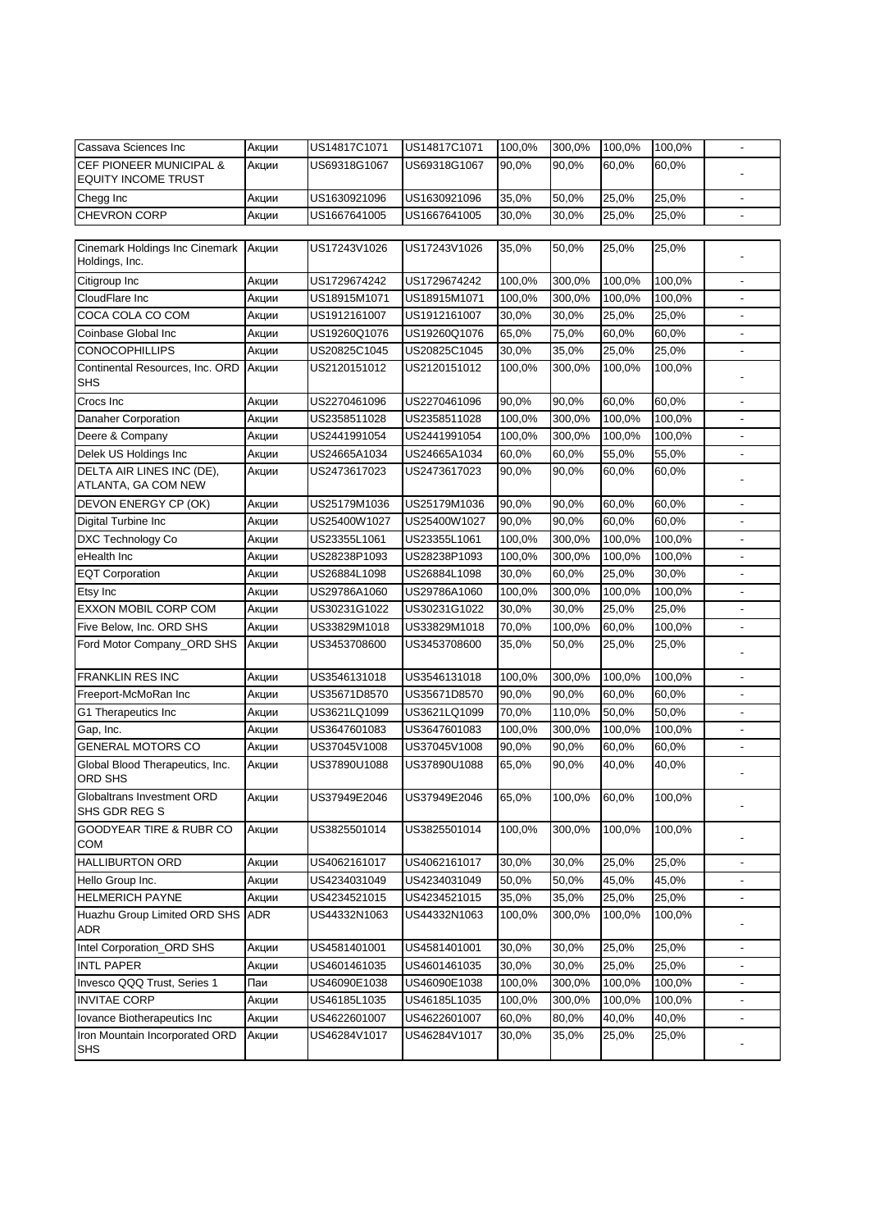| Cassava Sciences Inc                                             | Акции | US14817C1071 | US14817C1071 | 100,0% | 300,0% | 100,0% | 100,0% |                          |
|------------------------------------------------------------------|-------|--------------|--------------|--------|--------|--------|--------|--------------------------|
| <b>CEF PIONEER MUNICIPAL &amp;</b><br><b>EQUITY INCOME TRUST</b> | Акции | US69318G1067 | US69318G1067 | 90,0%  | 90,0%  | 60,0%  | 60,0%  |                          |
| Chegg Inc                                                        | Акции | US1630921096 | US1630921096 | 35,0%  | 50,0%  | 25,0%  | 25,0%  |                          |
| <b>CHEVRON CORP</b>                                              | Акции | US1667641005 | US1667641005 | 30,0%  | 30,0%  | 25,0%  | 25,0%  |                          |
|                                                                  |       |              |              |        |        |        |        |                          |
| Cinemark Holdings Inc Cinemark<br>Holdings, Inc.                 | Акции | US17243V1026 | US17243V1026 | 35,0%  | 50,0%  | 25,0%  | 25,0%  |                          |
| Citigroup Inc                                                    | Акции | US1729674242 | US1729674242 | 100,0% | 300,0% | 100,0% | 100,0% | $\overline{\phantom{a}}$ |
| CloudFlare Inc                                                   | Акции | US18915M1071 | US18915M1071 | 100,0% | 300,0% | 100,0% | 100,0% | $\blacksquare$           |
| COCA COLA CO COM                                                 | Акции | US1912161007 | US1912161007 | 30,0%  | 30,0%  | 25,0%  | 25,0%  | $\overline{\phantom{a}}$ |
| Coinbase Global Inc                                              | Акции | US19260Q1076 | US19260Q1076 | 65,0%  | 75,0%  | 60,0%  | 60,0%  | $\overline{\phantom{a}}$ |
| <b>CONOCOPHILLIPS</b>                                            | Акции | US20825C1045 | US20825C1045 | 30,0%  | 35,0%  | 25,0%  | 25,0%  | $\blacksquare$           |
| Continental Resources, Inc. ORD<br><b>SHS</b>                    | Акции | US2120151012 | US2120151012 | 100,0% | 300,0% | 100,0% | 100,0% |                          |
| Crocs Inc                                                        | Акции | US2270461096 | US2270461096 | 90,0%  | 90,0%  | 60,0%  | 60,0%  | $\overline{\phantom{a}}$ |
| Danaher Corporation                                              | Акции | US2358511028 | US2358511028 | 100,0% | 300,0% | 100,0% | 100,0% | $\overline{\phantom{a}}$ |
| Deere & Company                                                  | Акции | US2441991054 | US2441991054 | 100,0% | 300,0% | 100,0% | 100,0% | $\overline{\phantom{a}}$ |
| Delek US Holdings Inc                                            | Акции | US24665A1034 | US24665A1034 | 60,0%  | 60,0%  | 55,0%  | 55,0%  | $\overline{\phantom{a}}$ |
| DELTA AIR LINES INC (DE),<br>ATLANTA, GA COM NEW                 | Акции | US2473617023 | US2473617023 | 90,0%  | 90,0%  | 60,0%  | 60,0%  |                          |
| DEVON ENERGY CP (OK)                                             | Акции | US25179M1036 | US25179M1036 | 90,0%  | 90,0%  | 60,0%  | 60,0%  | $\overline{\phantom{a}}$ |
| Digital Turbine Inc                                              | Акции | US25400W1027 | US25400W1027 | 90,0%  | 90,0%  | 60.0%  | 60,0%  |                          |
| <b>DXC Technology Co</b>                                         | Акции | US23355L1061 | US23355L1061 | 100,0% | 300,0% | 100,0% | 100,0% |                          |
| eHealth Inc                                                      | Акции | US28238P1093 | US28238P1093 | 100,0% | 300,0% | 100,0% | 100,0% | $\overline{\phantom{a}}$ |
| <b>EQT Corporation</b>                                           | Акции | US26884L1098 | US26884L1098 | 30,0%  | 60,0%  | 25,0%  | 30,0%  |                          |
| Etsy Inc                                                         | Акции | US29786A1060 | US29786A1060 | 100,0% | 300,0% | 100,0% | 100,0% |                          |
| EXXON MOBIL CORP COM                                             | Акции | US30231G1022 | US30231G1022 | 30,0%  | 30,0%  | 25,0%  | 25,0%  | $\overline{\phantom{a}}$ |
| Five Below, Inc. ORD SHS                                         | Акции | US33829M1018 | US33829M1018 | 70,0%  | 100,0% | 60,0%  | 100,0% | $\overline{\phantom{a}}$ |
| Ford Motor Company_ORD SHS                                       | Акции | US3453708600 | US3453708600 | 35,0%  | 50,0%  | 25,0%  | 25,0%  |                          |
| <b>FRANKLIN RES INC</b>                                          | Акции | US3546131018 | US3546131018 | 100,0% | 300,0% | 100,0% | 100,0% | $\overline{\phantom{a}}$ |
| Freeport-McMoRan Inc                                             | Акции | US35671D8570 | US35671D8570 | 90,0%  | 90,0%  | 60,0%  | 60,0%  | $\overline{\phantom{a}}$ |
| G1 Therapeutics Inc                                              | Акции | US3621LQ1099 | US3621LQ1099 | 70,0%  | 110,0% | 50,0%  | 50,0%  | $\overline{\phantom{a}}$ |
| Gap, Inc.                                                        | Акции | US3647601083 | US3647601083 | 100,0% | 300,0% | 100,0% | 100,0% | $\overline{\phantom{a}}$ |
| <b>GENERAL MOTORS CO</b>                                         | Акции | US37045V1008 | US37045V1008 | 90,0%  | 90,0%  | 60,0%  | 60,0%  | $\blacksquare$           |
| Global Blood Therapeutics, Inc.<br>ORD SHS                       | Акции | US37890U1088 | US37890U1088 | 65,0%  | 90,0%  | 40,0%  | 40,0%  |                          |
| Globaltrans Investment ORD<br>SHS GDR REG S                      | Акции | US37949E2046 | US37949E2046 | 65,0%  | 100,0% | 60,0%  | 100,0% |                          |
| <b>GOODYEAR TIRE &amp; RUBR CO</b><br>COM                        | Акции | US3825501014 | US3825501014 | 100,0% | 300,0% | 100,0% | 100,0% | $\overline{\phantom{a}}$ |
| <b>HALLIBURTON ORD</b>                                           | Акции | US4062161017 | US4062161017 | 30,0%  | 30,0%  | 25,0%  | 25,0%  |                          |
| Hello Group Inc.                                                 | Акции | US4234031049 | US4234031049 | 50,0%  | 50,0%  | 45,0%  | 45,0%  |                          |
| <b>HELMERICH PAYNE</b>                                           | Акции | US4234521015 | US4234521015 | 35,0%  | 35,0%  | 25,0%  | 25,0%  |                          |
| Huazhu Group Limited ORD SHS<br>ADR                              | ADR   | US44332N1063 | US44332N1063 | 100,0% | 300,0% | 100,0% | 100,0% |                          |
| Intel Corporation_ORD SHS                                        | Акции | US4581401001 | US4581401001 | 30,0%  | 30,0%  | 25,0%  | 25,0%  | $\overline{\phantom{a}}$ |
| <b>INTL PAPER</b>                                                | Акции | US4601461035 | US4601461035 | 30,0%  | 30,0%  | 25,0%  | 25,0%  | $\overline{\phantom{a}}$ |
| Invesco QQQ Trust, Series 1                                      | Паи   | US46090E1038 | US46090E1038 | 100,0% | 300,0% | 100,0% | 100,0% | $\overline{\phantom{a}}$ |
| <b>INVITAE CORP</b>                                              | Акции | US46185L1035 | US46185L1035 | 100,0% | 300,0% | 100,0% | 100,0% | $\overline{\phantom{a}}$ |
| Iovance Biotherapeutics Inc                                      | Акции | US4622601007 | US4622601007 | 60,0%  | 80,0%  | 40,0%  | 40,0%  | $\overline{\phantom{a}}$ |
| Iron Mountain Incorporated ORD<br><b>SHS</b>                     | Акции | US46284V1017 | US46284V1017 | 30,0%  | 35,0%  | 25,0%  | 25,0%  | ۰                        |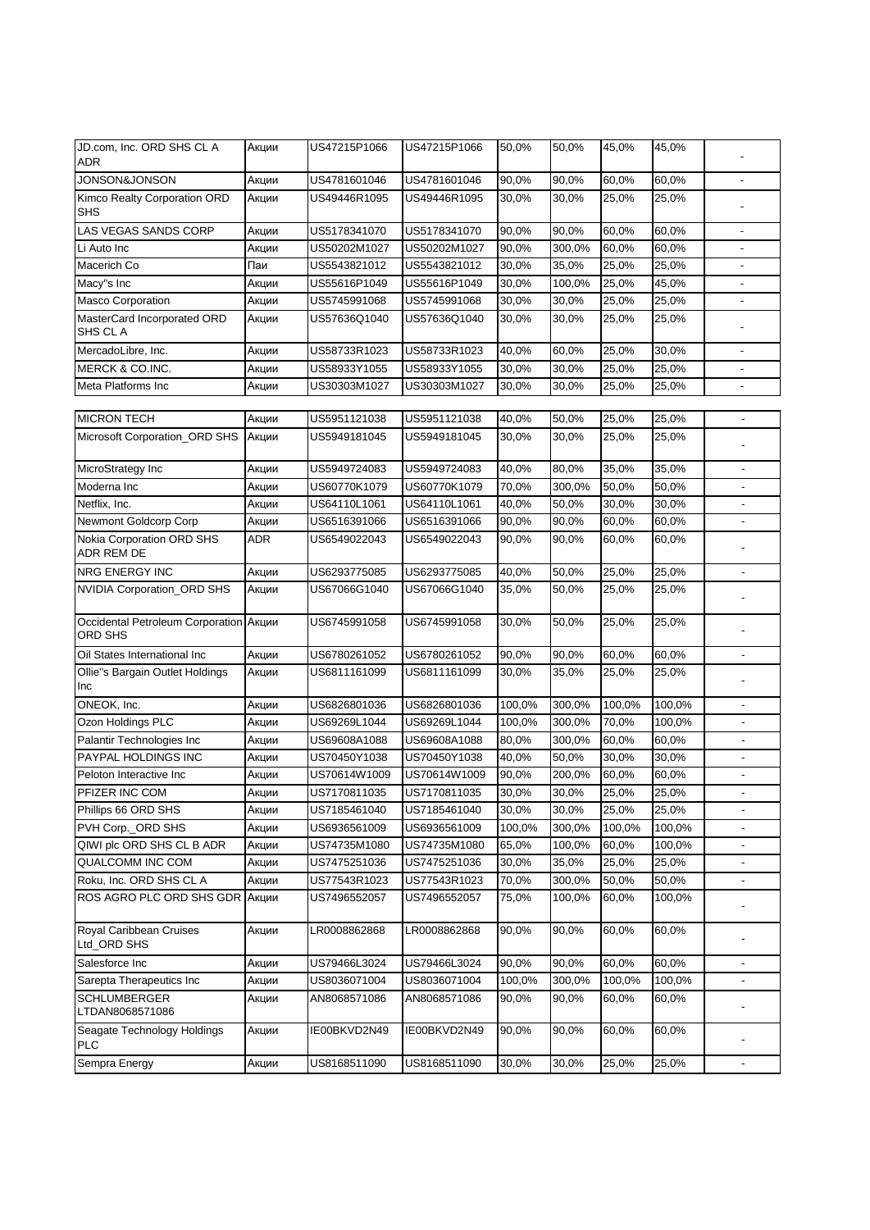| JD.com, Inc. ORD SHS CL A<br><b>ADR</b>           | Акции      | US47215P1066 | US47215P1066 | 50,0%  | 50,0%  | 45,0%  | 45,0%  |                          |
|---------------------------------------------------|------------|--------------|--------------|--------|--------|--------|--------|--------------------------|
| <b>JONSON&amp;JONSON</b>                          | Акции      | US4781601046 | US4781601046 | 90,0%  | 90,0%  | 60,0%  | 60,0%  | $\frac{1}{2}$            |
| Kimco Realty Corporation ORD<br><b>SHS</b>        | Акции      | US49446R1095 | US49446R1095 | 30,0%  | 30,0%  | 25,0%  | 25,0%  |                          |
| LAS VEGAS SANDS CORP                              | Акции      | US5178341070 | US5178341070 | 90,0%  | 90,0%  | 60,0%  | 60,0%  | $\blacksquare$           |
| Li Auto Inc                                       | Акции      | US50202M1027 | US50202M1027 | 90,0%  | 300,0% | 60,0%  | 60,0%  | $\blacksquare$           |
| Macerich Co                                       | Паи        | US5543821012 | US5543821012 | 30,0%  | 35,0%  | 25,0%  | 25,0%  | $\blacksquare$           |
| Macy"s Inc                                        | Акции      | US55616P1049 | US55616P1049 | 30,0%  | 100,0% | 25,0%  | 45,0%  | $\blacksquare$           |
| <b>Masco Corporation</b>                          | Акции      | US5745991068 | US5745991068 | 30,0%  | 30,0%  | 25,0%  | 25,0%  | $\mathbf{r}$             |
| MasterCard Incorporated ORD<br>SHS CL A           | Акции      | US57636Q1040 | US57636Q1040 | 30,0%  | 30,0%  | 25,0%  | 25,0%  |                          |
| MercadoLibre, Inc.                                | Акции      | US58733R1023 | US58733R1023 | 40,0%  | 60,0%  | 25,0%  | 30,0%  | $\overline{\phantom{a}}$ |
| MERCK & CO.INC.                                   | Акции      | US58933Y1055 | US58933Y1055 | 30,0%  | 30,0%  | 25,0%  | 25,0%  | $\overline{\phantom{a}}$ |
| Meta Platforms Inc                                | Акции      | US30303M1027 | US30303M1027 | 30,0%  | 30,0%  | 25,0%  | 25,0%  | $\overline{\phantom{a}}$ |
|                                                   |            |              |              |        |        |        |        |                          |
| <b>MICRON TECH</b>                                | Акции      | US5951121038 | US5951121038 | 40,0%  | 50,0%  | 25,0%  | 25,0%  | $\overline{\phantom{a}}$ |
| Microsoft Corporation_ORD SHS                     | Акции      | US5949181045 | US5949181045 | 30,0%  | 30,0%  | 25,0%  | 25,0%  |                          |
| MicroStrategy Inc                                 | Акции      | US5949724083 | US5949724083 | 40,0%  | 80,0%  | 35,0%  | 35,0%  |                          |
| Moderna Inc                                       | Акции      | US60770K1079 | US60770K1079 | 70,0%  | 300,0% | 50,0%  | 50,0%  |                          |
| Netflix, Inc.                                     | Акции      | US64110L1061 | US64110L1061 | 40,0%  | 50,0%  | 30,0%  | 30,0%  |                          |
| Newmont Goldcorp Corp                             | Акции      | US6516391066 | US6516391066 | 90,0%  | 90,0%  | 60,0%  | 60,0%  |                          |
| Nokia Corporation ORD SHS<br><b>ADR REM DE</b>    | <b>ADR</b> | US6549022043 | US6549022043 | 90,0%  | 90,0%  | 60,0%  | 60,0%  |                          |
| <b>NRG ENERGY INC</b>                             | Акции      | US6293775085 | US6293775085 | 40,0%  | 50,0%  | 25,0%  | 25,0%  | $\mathbf{r}$             |
| NVIDIA Corporation_ORD SHS                        | Акции      | US67066G1040 | US67066G1040 | 35,0%  | 50,0%  | 25,0%  | 25,0%  |                          |
| Occidental Petroleum Corporation Акции<br>ORD SHS |            | US6745991058 | US6745991058 | 30,0%  | 50,0%  | 25,0%  | 25,0%  |                          |
| Oil States International Inc                      | Акции      | US6780261052 | US6780261052 | 90,0%  | 90,0%  | 60,0%  | 60,0%  |                          |
| Ollie"s Bargain Outlet Holdings<br>Inc            | Акции      | US6811161099 | US6811161099 | 30,0%  | 35,0%  | 25,0%  | 25,0%  |                          |
| ONEOK, Inc.                                       | Акции      | US6826801036 | US6826801036 | 100,0% | 300,0% | 100,0% | 100,0% |                          |
| Ozon Holdings PLC                                 | Акции      | US69269L1044 | US69269L1044 | 100,0% | 300,0% | 70,0%  | 100,0% |                          |
| Palantir Technologies Inc                         | Акции      | US69608A1088 | US69608A1088 | 80,0%  | 300,0% | 60,0%  | 60,0%  |                          |
| <b>PAYPAL HOLDINGS INC</b>                        | Акции      | US70450Y1038 | US70450Y1038 | 40,0%  | 50,0%  | 30,0%  | 30,0%  |                          |
| Peloton Interactive Inc                           | Акции      | US70614W1009 | US70614W1009 | 90,0%  | 200,0% | 60,0%  | 60,0%  |                          |
| PFIZER INC COM                                    | Акции      | US7170811035 | US7170811035 | 30,0%  | 30,0%  | 25,0%  | 25,0%  |                          |
| Phillips 66 ORD SHS                               | Акции      | US7185461040 | US7185461040 | 30,0%  | 30,0%  | 25,0%  | 25,0%  |                          |
| PVH Corp._ORD SHS                                 | Акции      | US6936561009 | US6936561009 | 100,0% | 300,0% | 100,0% | 100,0% |                          |
| QIWI plc ORD SHS CL B ADR                         | Акции      | US74735M1080 | US74735M1080 | 65,0%  | 100,0% | 60,0%  | 100,0% |                          |
| QUALCOMM INC COM                                  | Акции      | US7475251036 | US7475251036 | 30,0%  | 35,0%  | 25,0%  | 25,0%  |                          |
| Roku, Inc. ORD SHS CL A                           | Акции      | US77543R1023 | US77543R1023 | 70,0%  | 300,0% | 50,0%  | 50,0%  |                          |
| ROS AGRO PLC ORD SHS GDR AKLUMM                   |            | US7496552057 | US7496552057 | 75,0%  | 100,0% | 60,0%  | 100,0% |                          |
| Royal Caribbean Cruises<br>Ltd_ORD SHS            | Акции      | LR0008862868 | LR0008862868 | 90,0%  | 90,0%  | 60,0%  | 60,0%  |                          |
| Salesforce Inc                                    | Акции      | US79466L3024 | US79466L3024 | 90,0%  | 90,0%  | 60,0%  | 60,0%  | $\overline{\phantom{a}}$ |
| Sarepta Therapeutics Inc                          | Акции      | US8036071004 | US8036071004 | 100,0% | 300,0% | 100,0% | 100,0% |                          |
| <b>SCHLUMBERGER</b><br>LTDAN8068571086            | Акции      | AN8068571086 | AN8068571086 | 90,0%  | 90,0%  | 60,0%  | 60,0%  |                          |
| Seagate Technology Holdings<br><b>PLC</b>         | Акции      | IE00BKVD2N49 | IE00BKVD2N49 | 90,0%  | 90,0%  | 60,0%  | 60,0%  |                          |
| Sempra Energy                                     | Акции      | US8168511090 | US8168511090 | 30,0%  | 30,0%  | 25,0%  | 25,0%  | $\blacksquare$           |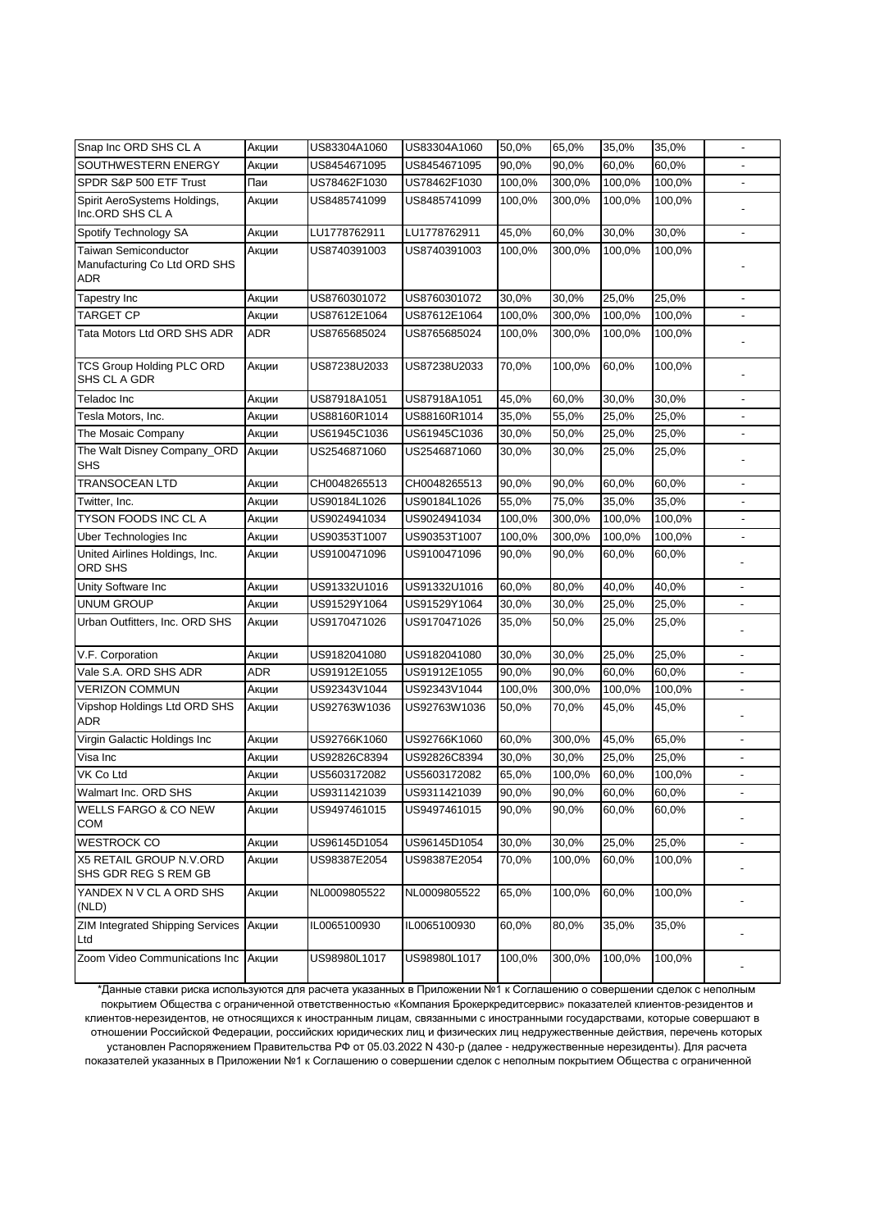| Snap Inc ORD SHS CL A                            | Акции | US83304A1060 | US83304A1060 | 50,0%  | 65,0%  | 35,0%  | 35,0%  |                          |
|--------------------------------------------------|-------|--------------|--------------|--------|--------|--------|--------|--------------------------|
| SOUTHWESTERN ENERGY                              | Акции | US8454671095 | US8454671095 | 90,0%  | 90,0%  | 60,0%  | 60,0%  |                          |
| SPDR S&P 500 ETF Trust                           | Паи   | US78462F1030 | US78462F1030 | 100,0% | 300,0% | 100,0% | 100,0% |                          |
| Spirit AeroSystems Holdings,<br>Inc.ORD SHS CL A | Акции | US8485741099 | US8485741099 | 100,0% | 300,0% | 100,0% | 100,0% |                          |
| Spotify Technology SA                            | Акции | LU1778762911 | LU1778762911 | 45,0%  | 60,0%  | 30,0%  | 30,0%  |                          |
| Taiwan Semiconductor                             | Акции | US8740391003 | US8740391003 | 100,0% | 300,0% | 100,0% | 100,0% |                          |
| Manufacturing Co Ltd ORD SHS<br>ADR              |       |              |              |        |        |        |        |                          |
| Tapestry Inc                                     | Акции | US8760301072 | US8760301072 | 30.0%  | 30,0%  | 25,0%  | 25,0%  |                          |
| <b>TARGET CP</b>                                 | Акции | US87612E1064 | US87612E1064 | 100,0% | 300,0% | 100,0% | 100,0% |                          |
| Tata Motors Ltd ORD SHS ADR                      | ADR   | US8765685024 | US8765685024 | 100,0% | 300,0% | 100,0% | 100,0% |                          |
| <b>TCS Group Holding PLC ORD</b><br>SHS CL A GDR | Акции | US87238U2033 | US87238U2033 | 70,0%  | 100,0% | 60,0%  | 100,0% |                          |
| Teladoc Inc                                      | Акции | US87918A1051 | US87918A1051 | 45,0%  | 60,0%  | 30,0%  | 30,0%  |                          |
| Tesla Motors, Inc.                               | Акции | US88160R1014 | US88160R1014 | 35,0%  | 55,0%  | 25,0%  | 25,0%  |                          |
| The Mosaic Company                               | Акции | US61945C1036 | US61945C1036 | 30,0%  | 50,0%  | 25,0%  | 25,0%  |                          |
| The Walt Disney Company ORD<br><b>SHS</b>        | Акции | US2546871060 | US2546871060 | 30,0%  | 30,0%  | 25,0%  | 25,0%  |                          |
| <b>TRANSOCEAN LTD</b>                            | Акции | CH0048265513 | CH0048265513 | 90,0%  | 90,0%  | 60,0%  | 60,0%  |                          |
| Twitter, Inc.                                    | Акции | US90184L1026 | US90184L1026 | 55,0%  | 75,0%  | 35,0%  | 35,0%  | ä,                       |
| TYSON FOODS INC CL A                             | Акции | US9024941034 | US9024941034 | 100,0% | 300,0% | 100,0% | 100,0% | ä,                       |
| Uber Technologies Inc                            | Акции | US90353T1007 | US90353T1007 | 100,0% | 300,0% | 100,0% | 100,0% |                          |
| United Airlines Holdings, Inc.<br>ORD SHS        | Акции | US9100471096 | US9100471096 | 90,0%  | 90,0%  | 60,0%  | 60,0%  |                          |
| Unity Software Inc                               | Акции | US91332U1016 | US91332U1016 | 60,0%  | 80,0%  | 40,0%  | 40,0%  |                          |
| UNUM GROUP                                       | Акции | US91529Y1064 | US91529Y1064 | 30,0%  | 30,0%  | 25,0%  | 25,0%  |                          |
| Urban Outfitters, Inc. ORD SHS                   | Акции | US9170471026 | US9170471026 | 35,0%  | 50,0%  | 25,0%  | 25,0%  |                          |
| V.F. Corporation                                 | Акции | US9182041080 | US9182041080 | 30,0%  | 30,0%  | 25,0%  | 25,0%  |                          |
| Vale S.A. ORD SHS ADR                            | ADR   | US91912E1055 | US91912E1055 | 90,0%  | 90,0%  | 60,0%  | 60,0%  |                          |
| <b>VERIZON COMMUN</b>                            | Акции | US92343V1044 | US92343V1044 | 100,0% | 300,0% | 100,0% | 100,0% |                          |
| Vipshop Holdings Ltd ORD SHS<br><b>ADR</b>       | Акции | US92763W1036 | US92763W1036 | 50,0%  | 70,0%  | 45,0%  | 45,0%  |                          |
| Virgin Galactic Holdings Inc                     | Акции | US92766K1060 | US92766K1060 | 60,0%  | 300,0% | 45,0%  | 65,0%  |                          |
| Visa Inc                                         | Акции | US92826C8394 | US92826C8394 | 30,0%  | 30,0%  | 25,0%  | 25,0%  |                          |
| VK Co Ltd                                        | Акции | US5603172082 | US5603172082 | 65,0%  | 100,0% | 60,0%  | 100,0% | $\overline{\phantom{a}}$ |
| Walmart Inc. ORD SHS                             | Акции | US9311421039 | US9311421039 | 90,0%  | 90,0%  | 60,0%  | 60,0%  |                          |
| <b>WELLS FARGO &amp; CO NEW</b><br><b>COM</b>    | Акции | US9497461015 | US9497461015 | 90,0%  | 90,0%  | 60,0%  | 60,0%  |                          |
| <b>WESTROCK CO</b>                               | Акции | US96145D1054 | US96145D1054 | 30,0%  | 30,0%  | 25,0%  | 25,0%  | $\blacksquare$           |
| X5 RETAIL GROUP N.V.ORD<br>SHS GDR REG S REM GB  | Акции | US98387E2054 | US98387E2054 | 70,0%  | 100,0% | 60,0%  | 100,0% |                          |
| YANDEX N V CL A ORD SHS<br>(NLD)                 | Акции | NL0009805522 | NL0009805522 | 65,0%  | 100,0% | 60,0%  | 100,0% |                          |
| <b>ZIM Integrated Shipping Services</b><br>Ltd   | Акции | IL0065100930 | IL0065100930 | 60,0%  | 80,0%  | 35,0%  | 35,0%  |                          |
| Zoom Video Communications Inc                    | Акции | US98980L1017 | US98980L1017 | 100,0% | 300,0% | 100,0% | 100,0% |                          |

\*Данные ставки риска используются для расчета указанных в Приложении №1 к Соглашению о совершении сделок с неполным покрытием Общества с ограниченной ответственностью «Компания Брокеркредитсервис» показателей клиентов-резидентов и клиентов-нерезидентов, не относящихся к иностранным лицам, связанными с иностранными государствами, которые совершают в отношении Российской Федерации, российских юридических лиц и физических лиц недружественные действия, перечень которых установлен Распоряжением Правительства РФ от 05.03.2022 N 430-р (далее - недружественные нерезиденты). Для расчета показателей указанных в Приложении №1 к Соглашению о совершении сделок с неполным покрытием Общества с ограниченной